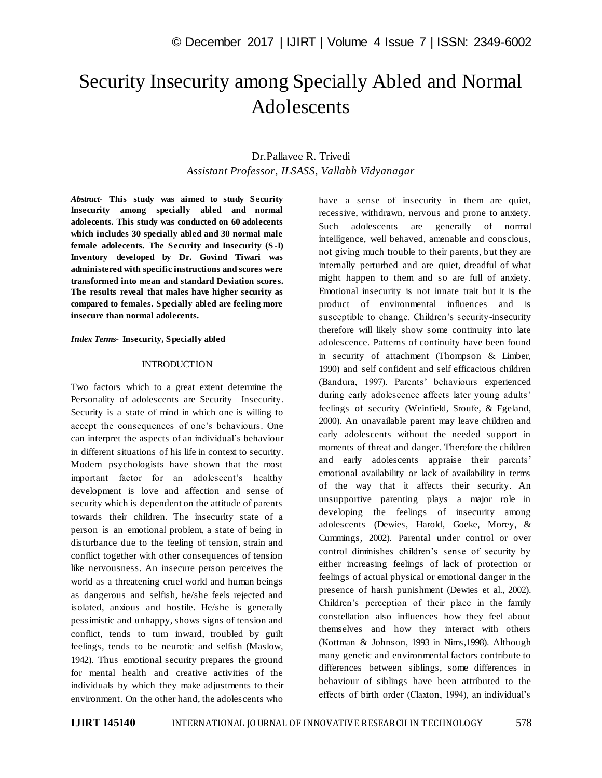# Security Insecurity among Specially Abled and Normal Adolescents

# Dr.Pallavee R. Trivedi *Assistant Professor, ILSASS, Vallabh Vidyanagar*

*Abstract*- **This study was aimed to study Security Insecurity among specially abled and normal adolecents. This study was conducted on 60 adolecents which includes 30 specially abled and 30 normal male female adolecents. The Security and Insecurity (S -I) Inventory developed by Dr. Govind Tiwari was administered with specific instructions and scores were transformed into mean and standard Deviation scores. The results reveal that males have higher security as compared to females. Specially abled are feeling more insecure than normal adolecents.**

#### *Index Terms***- Insecurity, Specially abled**

#### **INTRODUCTION**

Two factors which to a great extent determine the Personality of adolescents are Security –Insecurity. Security is a state of mind in which one is willing to accept the consequences of one's behaviours. One can interpret the aspects of an individual's behaviour in different situations of his life in context to security. Modern psychologists have shown that the most important factor for an adolescent's healthy development is love and affection and sense of security which is dependent on the attitude of parents towards their children. The insecurity state of a person is an emotional problem, a state of being in disturbance due to the feeling of tension, strain and conflict together with other consequences of tension like nervousness. An insecure person perceives the world as a threatening cruel world and human beings as dangerous and selfish, he/she feels rejected and isolated, anxious and hostile. He/she is generally pessimistic and unhappy, shows signs of tension and conflict, tends to turn inward, troubled by guilt feelings, tends to be neurotic and selfish (Maslow, 1942). Thus emotional security prepares the ground for mental health and creative activities of the individuals by which they make adjustments to their environment. On the other hand, the adolescents who

have a sense of insecurity in them are quiet, recessive, withdrawn, nervous and prone to anxiety. Such adolescents are generally of normal intelligence, well behaved, amenable and conscious, not giving much trouble to their parents, but they are internally perturbed and are quiet, dreadful of what might happen to them and so are full of anxiety. Emotional insecurity is not innate trait but it is the product of environmental influences and is susceptible to change. Children's security-insecurity therefore will likely show some continuity into late adolescence. Patterns of continuity have been found in security of attachment (Thompson & Limber, 1990) and self confident and self efficacious children (Bandura, 1997). Parents' behaviours experienced during early adolescence affects later young adults' feelings of security (Weinfield, Sroufe, & Egeland, 2000). An unavailable parent may leave children and early adolescents without the needed support in moments of threat and danger. Therefore the children and early adolescents appraise their parents' emotional availability or lack of availability in terms of the way that it affects their security. An unsupportive parenting plays a major role in developing the feelings of insecurity among adolescents (Dewies, Harold, Goeke, Morey, & Cummings, 2002). Parental under control or over control diminishes children's sense of security by either increasing feelings of lack of protection or feelings of actual physical or emotional danger in the presence of harsh punishment (Dewies et al., 2002). Children's perception of their place in the family constellation also influences how they feel about themselves and how they interact with others (Kottman & Johnson, 1993 in Nims,1998). Although many genetic and environmental factors contribute to differences between siblings, some differences in behaviour of siblings have been attributed to the effects of birth order (Claxton, 1994), an individual's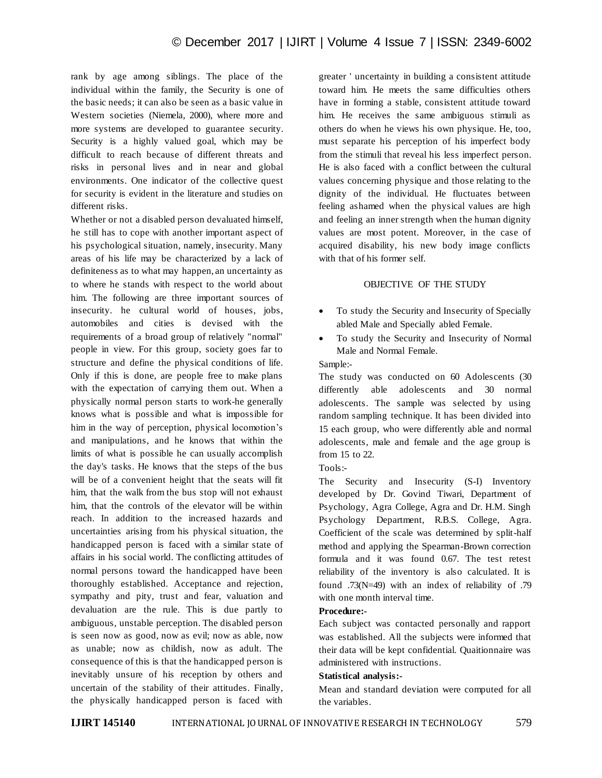rank by age among siblings. The place of the individual within the family, the Security is one of the basic needs; it can also be seen as a basic value in Western societies (Niemela, 2000), where more and more systems are developed to guarantee security. Security is a highly valued goal, which may be difficult to reach because of different threats and risks in personal lives and in near and global environments. One indicator of the collective quest for security is evident in the literature and studies on different risks.

Whether or not a disabled person devaluated himself, he still has to cope with another important aspect of his psychological situation, namely, insecurity. Many areas of his life may be characterized by a lack of definiteness as to what may happen, an uncertainty as to where he stands with respect to the world about him. The following are three important sources of insecurity. he cultural world of houses, jobs, automobiles and cities is devised with the requirements of a broad group of relatively "normal" people in view. For this group, society goes far to structure and define the physical conditions of life. Only if this is done, are people free to make plans with the expectation of carrying them out. When a physically normal person starts to work-he generally knows what is possible and what is impossible for him in the way of perception, physical locomotion's and manipulations, and he knows that within the limits of what is possible he can usually accomplish the day's tasks. He knows that the steps of the bus will be of a convenient height that the seats will fit him, that the walk from the bus stop will not exhaust him, that the controls of the elevator will be within reach. In addition to the increased hazards and uncertainties arising from his physical situation, the handicapped person is faced with a similar state of affairs in his social world. The conflicting attitudes of normal persons toward the handicapped have been thoroughly established. Acceptance and rejection, sympathy and pity, trust and fear, valuation and devaluation are the rule. This is due partly to ambiguous, unstable perception. The disabled person is seen now as good, now as evil; now as able, now as unable; now as childish, now as adult. The consequence of this is that the handicapped person is inevitably unsure of his reception by others and uncertain of the stability of their attitudes. Finally, the physically handicapped person is faced with

greater ' uncertainty in building a consistent attitude toward him. He meets the same difficulties others have in forming a stable, consistent attitude toward him. He receives the same ambiguous stimuli as others do when he views his own physique. He, too, must separate his perception of his imperfect body from the stimuli that reveal his less imperfect person. He is also faced with a conflict between the cultural values concerning physique and those relating to the dignity of the individual. He fluctuates between feeling ashamed when the physical values are high and feeling an inner strength when the human dignity values are most potent. Moreover, in the case of acquired disability, his new body image conflicts with that of his former self.

#### OBJECTIVE OF THE STUDY

- To study the Security and Insecurity of Specially abled Male and Specially abled Female.
- To study the Security and Insecurity of Normal Male and Normal Female.

Sample:-

The study was conducted on 60 Adolescents (30 differently able adolescents and 30 normal adolescents. The sample was selected by using random sampling technique. It has been divided into 15 each group, who were differently able and normal adolescents, male and female and the age group is from 15 to 22.

Tools:-

The Security and Insecurity (S-I) Inventory developed by Dr. Govind Tiwari, Department of Psychology, Agra College, Agra and Dr. H.M. Singh Psychology Department, R.B.S. College, Agra. Coefficient of the scale was determined by split-half method and applying the Spearman-Brown correction formula and it was found 0.67. The test retest reliability of the inventory is also calculated. It is found .73(N=49) with an index of reliability of .79 with one month interval time.

## **Procedure:-**

Each subject was contacted personally and rapport was established. All the subjects were informed that their data will be kept confidential. Quaitionnaire was administered with instructions.

#### **Statistical analysis:-**

Mean and standard deviation were computed for all the variables.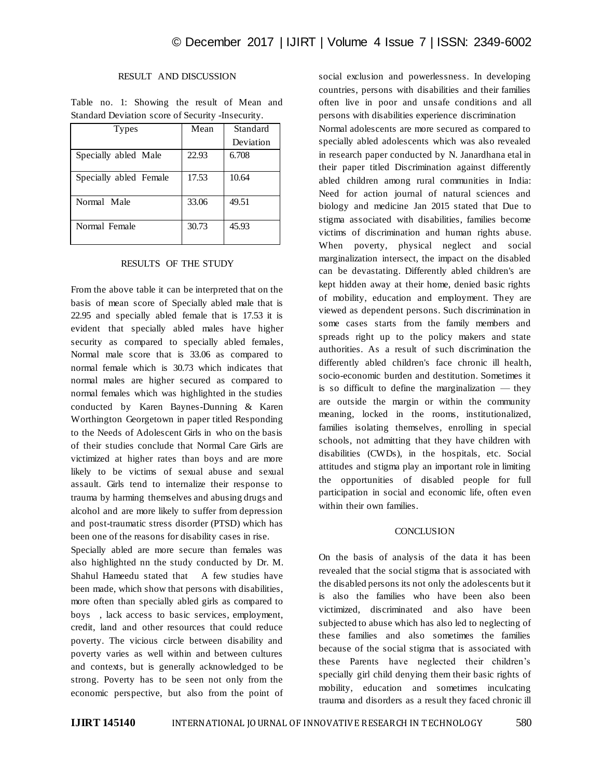# RESULT AND DISCUSSION

|                                                    |  |  | Table no. 1: Showing the result of Mean and |  |  |  |  |  |  |  |
|----------------------------------------------------|--|--|---------------------------------------------|--|--|--|--|--|--|--|
| Standard Deviation score of Security - Insecurity. |  |  |                                             |  |  |  |  |  |  |  |

| <b>Types</b>           | Mean  | Standard  |
|------------------------|-------|-----------|
|                        |       | Deviation |
| Specially abled Male   | 22.93 | 6.708     |
| Specially abled Female | 17.53 | 10.64     |
| Normal Male            | 33.06 | 49.51     |
| Normal Female          | 30.73 | 45.93     |

#### RESULTS OF THE STUDY

From the above table it can be interpreted that on the basis of mean score of Specially abled male that is 22.95 and specially abled female that is 17.53 it is evident that specially abled males have higher security as compared to specially abled females, Normal male score that is 33.06 as compared to normal female which is 30.73 which indicates that normal males are higher secured as compared to normal females which was highlighted in the studies conducted by Karen Baynes-Dunning & Karen Worthington Georgetown in paper titled Responding to the Needs of Adolescent Girls in who on the basis of their studies conclude that Normal Care Girls are victimized at higher rates than boys and are more likely to be victims of sexual abuse and sexual assault. Girls tend to internalize their response to trauma by harming themselves and abusing drugs and alcohol and are more likely to suffer from depression and post-traumatic stress disorder (PTSD) which has been one of the reasons for disability cases in rise.

Specially abled are more secure than females was also highlighted nn the study conducted by Dr. M. Shahul Hameedu stated that A few studies have been made, which show that persons with disabilities, more often than specially abled girls as compared to boys , lack access to basic services, employment, credit, land and other resources that could reduce poverty. The vicious circle between disability and poverty varies as well within and between cultures and contexts, but is generally acknowledged to be strong. Poverty has to be seen not only from the economic perspective, but also from the point of social exclusion and powerlessness. In developing countries, persons with disabilities and their families often live in poor and unsafe conditions and all persons with disabilities experience discrimination Normal adolescents are more secured as compared to specially abled adolescents which was also revealed in research paper conducted by N. Janardhana etal in their paper titled Discrimination against differently abled children among rural communities in India: Need for action journal of natural sciences and biology and medicine Jan 2015 stated that Due to stigma associated with disabilities, families become victims of discrimination and human rights abuse. When poverty, physical neglect and social marginalization intersect, the impact on the disabled can be devastating. Differently abled children's are kept hidden away at their home, denied basic rights of mobility, education and employment. They are viewed as dependent persons. Such discrimination in some cases starts from the family members and spreads right up to the policy makers and state authorities. As a result of such discrimination the differently abled children's face chronic ill health, socio-economic burden and destitution. Sometimes it is so difficult to define the marginalization — they are outside the margin or within the community meaning, locked in the rooms, institutionalized, families isolating themselves, enrolling in special schools, not admitting that they have children with disabilities (CWDs), in the hospitals, etc. Social attitudes and stigma play an important role in limiting the opportunities of disabled people for full participation in social and economic life, often even within their own families.

#### **CONCLUSION**

On the basis of analysis of the data it has been revealed that the social stigma that is associated with the disabled persons its not only the adolescents but it is also the families who have been also been victimized, discriminated and also have been subjected to abuse which has also led to neglecting of these families and also sometimes the families because of the social stigma that is associated with these Parents have neglected their children's specially girl child denying them their basic rights of mobility, education and sometimes inculcating trauma and disorders as a result they faced chronic ill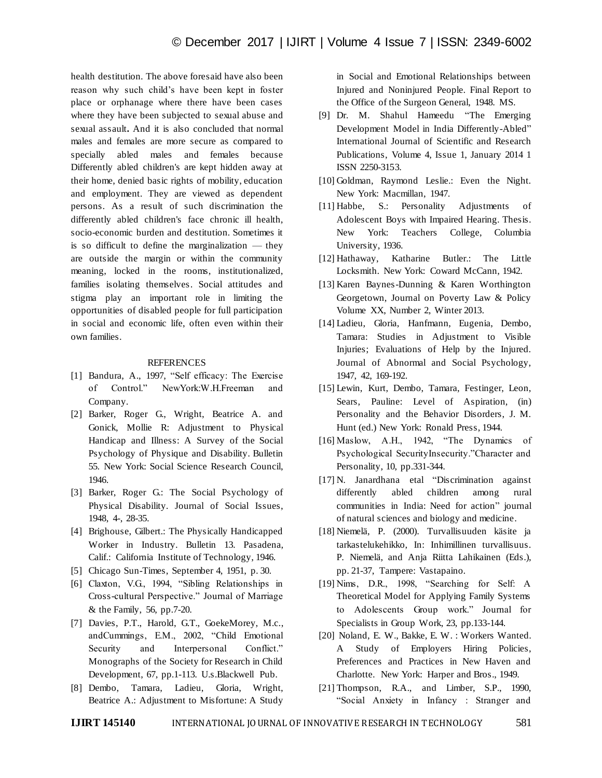health destitution. The above foresaid have also been reason why such child's have been kept in foster place or orphanage where there have been cases where they have been subjected to sexual abuse and sexual assault**.** And it is also concluded that normal males and females are more secure as compared to specially abled males and females because Differently abled children's are kept hidden away at their home, denied basic rights of mobility, education and employment. They are viewed as dependent persons. As a result of such discrimination the differently abled children's face chronic ill health, socio-economic burden and destitution. Sometimes it is so difficult to define the marginalization — they are outside the margin or within the community meaning, locked in the rooms, institutionalized, families isolating themselves. Social attitudes and stigma play an important role in limiting the opportunities of disabled people for full participation in social and economic life, often even within their own families.

## REFERENCES

- [1] Bandura, A., 1997, "Self efficacy: The Exercise of Control." NewYork:W.H.Freeman and Company.
- [2] Barker, Roger G., Wright, Beatrice A. and Gonick, Mollie R: Adjustment to Physical Handicap and Illness: A Survey of the Social Psychology of Physique and Disability. Bulletin 55. New York: Social Science Research Council, 1946.
- [3] Barker, Roger G.: The Social Psychology of Physical Disability. Journal of Social Issues, 1948, 4-, 28-35.
- [4] Brighouse, Gilbert.: The Physically Handicapped Worker in Industry. Bulletin 13. Pasadena, Calif.: California Institute of Technology, 1946.
- [5] Chicago Sun-Times, September 4, 1951, p. 30.
- [6] Claxton, V.G., 1994, "Sibling Relationships in Cross-cultural Perspective.‖ Journal of Marriage & the Family, 56, pp.7-20.
- [7] Davies, P.T., Harold, G.T., GoekeMorey, M.c., andCummings, E.M., 2002, "Child Emotional Security and Interpersonal Conflict." Monographs of the Society for Research in Child Development, 67, pp.1-113. U.s.Blackwell Pub.
- [8] Dembo, Tamara, Ladieu, Gloria, Wright, Beatrice A.: Adjustment to Misfortune: A Study

in Social and Emotional Relationships between Injured and Noninjured People. Final Report to the Office of the Surgeon General, 1948. MS.

- [9] Dr. M. Shahul Hameedu "The Emerging Development Model in India Differently-Abled" International Journal of Scientific and Research Publications, Volume 4, Issue 1, January 2014 1 ISSN 2250-3153.
- [10] Goldman, Raymond Leslie.: Even the Night. New York: Macmillan, 1947.
- [11] Habbe, S.: Personality Adjustments of Adolescent Boys with Impaired Hearing. Thesis. New York: Teachers College, Columbia University, 1936.
- [12] Hathaway, Katharine Butler.: The Little Locksmith. New York: Coward McCann, 1942.
- [13] Karen Baynes-Dunning & Karen Worthington Georgetown, Journal on Poverty Law & Policy Volume XX, Number 2, Winter 2013.
- [14] Ladieu, Gloria, Hanfmann, Eugenia, Dembo, Tamara: Studies in Adjustment to Visible Injuries; Evaluations of Help by the Injured. Journal of Abnormal and Social Psychology, 1947, 42, 169-192.
- [15] Lewin, Kurt, Dembo, Tamara, Festinger, Leon, Sears, Pauline: Level of Aspiration, (in) Personality and the Behavior Disorders, J. M. Hunt (ed.) New York: Ronald Press, 1944.
- $[16]$  Maslow, A.H., 1942, "The Dynamics of Psychological SecurityInsecurity."Character and Personality, 10, pp.331-344.
- [17] N. Janardhana etal "Discrimination against differently abled children among rural communities in India: Need for action" journal of natural sciences and biology and medicine.
- [18] Niemelä, P. (2000). Turvallisuuden käsite ja tarkastelukehikko, In: Inhimillinen turvallisuus. P. Niemelä, and Anja Riitta Lahikainen (Eds.), pp. 21-37, Tampere: Vastapaino.
- $[19]$  Nims, D.R., 1998, "Searching for Self: A Theoretical Model for Applying Family Systems to Adolescents Group work." Journal for Specialists in Group Work, 23, pp.133-144.
- [20] Noland, E. W., Bakke, E. W. : Workers Wanted. A Study of Employers Hiring Policies, Preferences and Practices in New Haven and Charlotte. New York: Harper and Bros., 1949.
- [21] Thompson, R.A., and Limber, S.P., 1990, ―Social Anxiety in Infancy : Stranger and